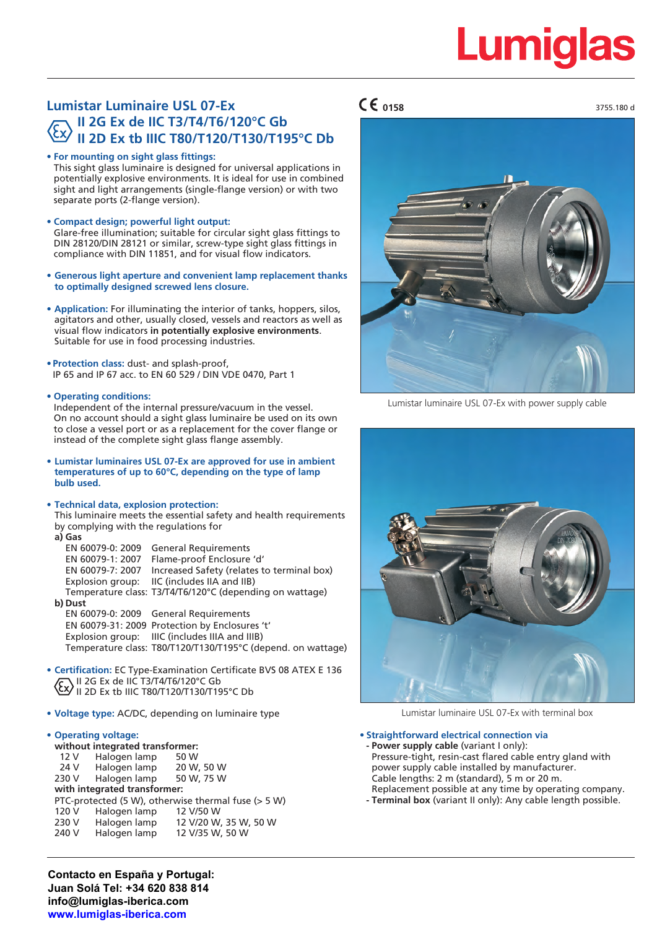3755.180 d

## **Lumistar Luminaire USL 07-Ex II 2G Ex de IIC T3/T4/T6/120°C Gb II 2D Ex tb IIIC T80/T120/T130/T195°C Db**

**• For mounting on sight glass fittings:** This sight glass luminaire is designed for universal applications in potentially explosive environments. It is ideal for use in combined sight and light arrangements (single-flange version) or with two separate ports (2-flange version).

- **• Compact design; powerful light output:** Glare-free illumination; suitable for circular sight glass fittings to DIN 28120/DIN 28121 or similar, screw-type sight glass fittings in compliance with DIN 11851, and for visual flow indicators.
- **• Generous light aperture and convenient lamp replacement thanks to optimally designed screwed lens closure.**
- **• Application:** For illuminating the interior of tanks, hoppers, silos, agitators and other, usually closed, vessels and reactors as well as visual flow indicators **in potentially explosive environments**. Suitable for use in food processing industries.
- **• Protection class:** dust- and splash-proof, IP 65 and IP 67 acc. to EN 60 529 / DIN VDE 0470, Part 1

#### **• Operating conditions:**

Independent of the internal pressure/vacuum in the vessel. On no account should a sight glass luminaire be used on its own to close a vessel port or as a replacement for the cover flange or instead of the complete sight glass flange assembly.

**• Lumistar luminaires USL 07-Ex are approved for use in ambient temperatures of up to 60°C, depending on the type of lamp bulb used.**

#### **• Technical data, explosion protection:**

This luminaire meets the essential safety and health requirements by complying with the regulations for **a) Gas**

| <b>General Requirements</b>                                  |
|--------------------------------------------------------------|
| Flame-proof Enclosure 'd'                                    |
| Increased Safety (relates to terminal box)                   |
| IIC (includes IIA and IIB)                                   |
| Temperature class: T3/T4/T6/120°C (depending on wattage)     |
|                                                              |
| EN 60079-0: 2009 General Requirements                        |
| EN 60079-31: 2009 Protection by Enclosures 't'               |
| Explosion group: IIIC (includes IIIA and IIIB)               |
| Temperature class: T80/T120/T130/T195°C (depend. on wattage) |
|                                                              |

- **• Certification:** EC Type-Examination Certificate BVS 08 ATEX E 136 II 2G Ex de IIC T3/T4/T6/120°C Gb II 2D Ex tb IIIC T80/T120/T130/T195°C Db
- **• Voltage type:** AC/DC, depending on luminaire type

#### **• Operating voltage:**

**without integrated transformer:** 12 V Halogen lamp 50 W<br>24 V Halogen lamp 20 W, 50 W 24 V Halogen lamp 20 W, 50 W<br>230 V Halogen lamp 50 W, 75 W Halogen lamp **with integrated transformer:** PTC-protected (5 W), otherwise thermal fuse (> 5 W) 120 V Halogen lamp 12 V/50 W 230 V Halogen lamp 12 V/20 W, 35 W, 50 W Halogen lamp 12 V/35 W, 50 W

**Contacto en España y Portugal: Juan Solá Tel: +34 620 838 814 info@lumiglas-iberica.com www.lumiglas-iberica.com**

### **0158**



Lumistar luminaire USL 07-Ex with power supply cable



Lumistar luminaire USL 07-Ex with terminal box

#### **• Straightforward electrical connection via**

**- Power supply cable** (variant I only): Pressure-tight, resin-cast flared cable entry gland with power supply cable installed by manufacturer. Cable lengths: 2 m (standard), 5 m or 20 m. Replacement possible at any time by operating company.

**- Terminal box** (variant II only): Any cable length possible.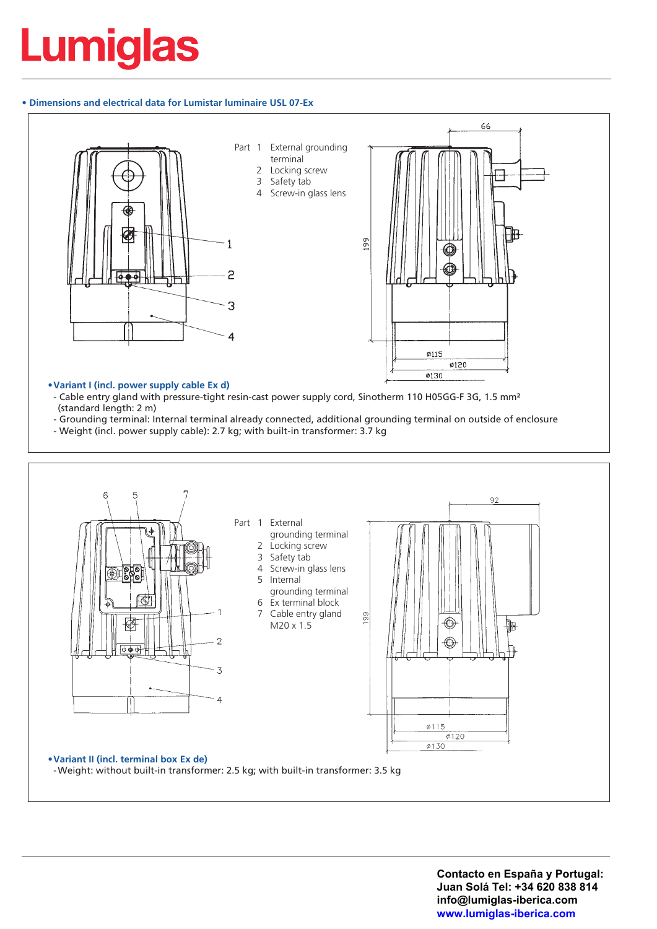#### **• Dimensions and electrical data for Lumistar luminaire USL 07-Ex**



- Cable entry gland with pressure-tight resin-cast power supply cord, Sinotherm 110 H05GG-F 3G, 1.5 mm<sup>2</sup> (standard length: 2 m)

- Grounding terminal: Internal terminal already connected, additional grounding terminal on outside of enclosure
- Weight (incl. power supply cable): 2.7 kg; with built-in transformer: 3.7 kg

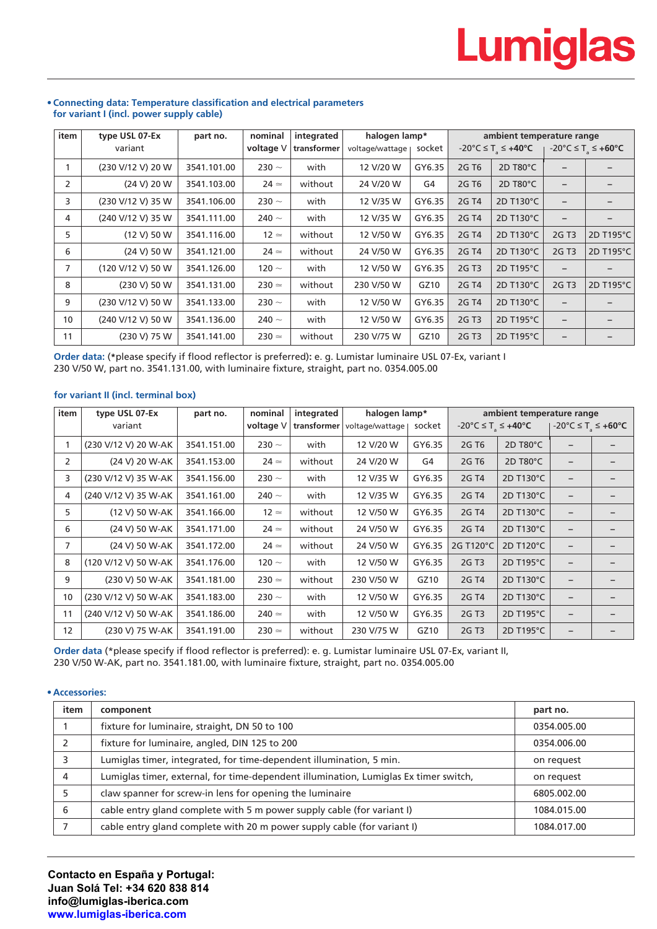| item | type USL 07-Ex    | part no.    | nominal       | integrated  | halogen lamp*   |        | ambient temperature range |                     |                          |                          |
|------|-------------------|-------------|---------------|-------------|-----------------|--------|---------------------------|---------------------|--------------------------|--------------------------|
|      | variant           |             | voltage V     | transformer | voltage/wattage | socket | -20°C ≤ T $\le$ +40°C     |                     | -20°C ≤ T ≤ +60°C        |                          |
|      | (230 V/12 V) 20 W | 3541.101.00 | 230 $\sim$    | with        | 12 V/20 W       | GY6.35 | 2G T <sub>6</sub>         | 2D T80°C            |                          |                          |
| 2    | (24 V) 20 W       | 3541.103.00 | $24 \simeq$   | without     | 24 V/20 W       | G4     | 2G T <sub>6</sub>         | 2D T80 $^{\circ}$ C | $\overline{\phantom{m}}$ |                          |
| 3    | (230 V/12 V) 35 W | 3541.106.00 | 230 $\sim$    | with        | 12 V/35 W       | GY6.35 | 2G T4                     | 2D T130°C           | $\qquad \qquad -$        | $\overline{\phantom{0}}$ |
| 4    | (240 V/12 V) 35 W | 3541.111.00 | 240 $\sim$    | with        | 12 V/35 W       | GY6.35 | 2G T4                     | 2D T130°C           | $\overline{\phantom{m}}$ |                          |
| 5    | (12 V) 50 W       | 3541.116.00 | $12 \simeq$   | without     | 12 V/50 W       | GY6.35 | 2G T4                     | 2D T130°C           | 2G T3                    | 2D T195°C                |
| 6    | (24 V) 50 W       | 3541.121.00 | $24 \simeq$   | without     | 24 V/50 W       | GY6.35 | 2G T4                     | 2D T130°C           | 2G T3                    | 2D T195°C                |
| 7    | (120 V/12 V) 50 W | 3541.126.00 | 120 $\sim$    | with        | 12 V/50 W       | GY6.35 | 2G T3                     | 2D T195°C           | $\overline{\phantom{0}}$ |                          |
| 8    | (230 V) 50 W      | 3541.131.00 | $230 \approx$ | without     | 230 V/50 W      | GZ10   | 2G T4                     | 2D T130°C           | 2G T3                    | 2D T195°C                |
| 9    | (230 V/12 V) 50 W | 3541.133.00 | 230 $\sim$    | with        | 12 V/50 W       | GY6.35 | 2G T4                     | 2D T130°C           | $\qquad \qquad -$        |                          |
| 10   | (240 V/12 V) 50 W | 3541.136.00 | 240 $\sim$    | with        | 12 V/50 W       | GY6.35 | 2G T3                     | 2D T195°C           | $\overline{\phantom{0}}$ | -                        |
| 11   | (230 V) 75 W      | 3541.141.00 | $230 \approx$ | without     | 230 V/75 W      | GZ10   | 2G T <sub>3</sub>         | 2D T195°C           | $\overline{\phantom{m}}$ | -                        |

#### **• Connecting data: Temperature classification and electrical parameters for variant I (incl. power supply cable)**

**Order data:** (**\***please specify if flood reflector is preferred)**:** e. g. Lumistar luminaire USL 07-Ex, variant I 230 V/50 W, part no. 3541.131.00, with luminaire fixture, straight, part no. 0354.005.00

#### **for variant II (incl. terminal box)**

| item           | type USL 07-Ex       | part no.    | nominal       | integrated  | halogen lamp*   |        | ambient temperature range                          |           |                                                               |  |
|----------------|----------------------|-------------|---------------|-------------|-----------------|--------|----------------------------------------------------|-----------|---------------------------------------------------------------|--|
|                | variant              |             | voltage V     | transformer | voltage/wattage | socket | $-20^{\circ}$ C $\leq$ T <sub>s</sub> $\leq$ +40°C |           | $-20^{\circ}$ C $\leq$ T <sub>2</sub> $\leq$ +60 $^{\circ}$ C |  |
|                | (230 V/12 V) 20 W-AK | 3541.151.00 | 230 $\sim$    | with        | 12 V/20 W       | GY6.35 | 2G T <sub>6</sub>                                  | 2D T80°C  |                                                               |  |
| $\overline{2}$ | (24 V) 20 W-AK       | 3541.153.00 | $24 \simeq$   | without     | 24 V/20 W       | G4     | 2G T <sub>6</sub>                                  | 2D T80°C  |                                                               |  |
| 3              | (230 V/12 V) 35 W-AK | 3541.156.00 | 230 $\sim$    | with        | 12 V/35 W       | GY6.35 | 2G T4                                              | 2D T130°C | -                                                             |  |
| 4              | (240 V/12 V) 35 W-AK | 3541.161.00 | 240 $\sim$    | with        | 12 V/35 W       | GY6.35 | 2G T4                                              | 2D T130°C |                                                               |  |
| 5.             | (12 V) 50 W-AK       | 3541.166.00 | $12 \simeq$   | without     | 12 V/50 W       | GY6.35 | 2G T4                                              | 2D T130°C | -                                                             |  |
| 6              | (24 V) 50 W-AK       | 3541.171.00 | $24 \simeq$   | without     | 24 V/50 W       | GY6.35 | 2G T4                                              | 2D T130°C | -                                                             |  |
| 7              | (24 V) 50 W-AK       | 3541.172.00 | $24 \simeq$   | without     | 24 V/50 W       | GY6.35 | 2G T120°C                                          | 2D T120°C |                                                               |  |
| 8              | (120 V/12 V) 50 W-AK | 3541.176.00 | 120 $\sim$    | with        | 12 V/50 W       | GY6.35 | 2G T3                                              | 2D T195°C | $\overline{\phantom{a}}$                                      |  |
| 9              | (230 V) 50 W-AK      | 3541.181.00 | $230 \approx$ | without     | 230 V/50 W      | GZ10   | 2G T4                                              | 2D T130°C |                                                               |  |
| 10             | (230 V/12 V) 50 W-AK | 3541.183.00 | 230 $\sim$    | with        | 12 V/50 W       | GY6.35 | 2G T4                                              | 2D T130°C | $\overline{\phantom{m}}$                                      |  |
| 11             | (240 V/12 V) 50 W-AK | 3541.186.00 | $240 \simeq$  | with        | 12 V/50 W       | GY6.35 | 2G T3                                              | 2D T195°C |                                                               |  |
| 12             | (230 V) 75 W-AK      | 3541.191.00 | $230 \approx$ | without     | 230 V/75 W      | GZ10   | 2G T3                                              | 2D T195°C | $\overline{\phantom{m}}$                                      |  |

**Order data** (\*please specify if flood reflector is preferred): e. g. Lumistar luminaire USL 07-Ex, variant II, 230 V/50 W-AK, part no. 3541.181.00, with luminaire fixture, straight, part no. 0354.005.00

#### **• Accessories:**

| item | component                                                                            | part no.    |
|------|--------------------------------------------------------------------------------------|-------------|
|      | fixture for luminaire, straight, DN 50 to 100                                        | 0354.005.00 |
|      | fixture for luminaire, angled, DIN 125 to 200                                        | 0354.006.00 |
| 3    | Lumiglas timer, integrated, for time-dependent illumination, 5 min.                  | on request  |
| 4    | Lumiglas timer, external, for time-dependent illumination, Lumiglas Ex timer switch, | on request  |
|      | claw spanner for screw-in lens for opening the luminaire                             | 6805.002.00 |
| 6    | cable entry gland complete with 5 m power supply cable (for variant I)               | 1084.015.00 |
|      | cable entry gland complete with 20 m power supply cable (for variant I)              | 1084.017.00 |